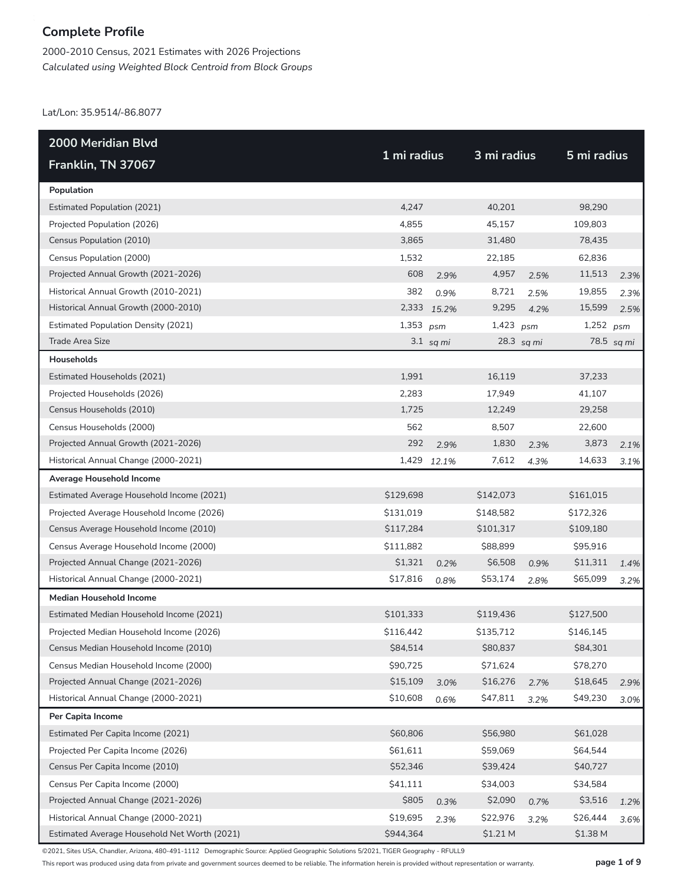2000-2010 Census, 2021 Estimates with 2026 Projections *Calculated using Weighted Block Centroid from Block Groups*

Lat/Lon: 35.9514/-86.8077

| 2000 Meridian Blvd                           |             |             |             |            |             |            |
|----------------------------------------------|-------------|-------------|-------------|------------|-------------|------------|
| Franklin, TN 37067                           | 1 mi radius |             | 3 mi radius |            | 5 mi radius |            |
| Population                                   |             |             |             |            |             |            |
| <b>Estimated Population (2021)</b>           | 4,247       |             | 40,201      |            | 98,290      |            |
| Projected Population (2026)                  | 4,855       |             | 45,157      |            | 109,803     |            |
| Census Population (2010)                     | 3,865       |             | 31,480      |            | 78,435      |            |
| Census Population (2000)                     | 1,532       |             | 22,185      |            | 62,836      |            |
| Projected Annual Growth (2021-2026)          | 608         | 2.9%        | 4,957       | 2.5%       | 11,513      | 2.3%       |
| Historical Annual Growth (2010-2021)         | 382         | 0.9%        | 8,721       | 2.5%       | 19,855      | 2.3%       |
| Historical Annual Growth (2000-2010)         | 2,333       | 15.2%       | 9,295       | 4.2%       | 15,599      | 2.5%       |
| <b>Estimated Population Density (2021)</b>   | 1,353       | psm         | $1,423$ psm |            | $1,252$ psm |            |
| Trade Area Size                              |             | $3.1$ sq mi |             | 28.3 sq mi |             | 78.5 sq mi |
| Households                                   |             |             |             |            |             |            |
| Estimated Households (2021)                  | 1,991       |             | 16,119      |            | 37,233      |            |
| Projected Households (2026)                  | 2,283       |             | 17,949      |            | 41,107      |            |
| Census Households (2010)                     | 1,725       |             | 12,249      |            | 29,258      |            |
| Census Households (2000)                     | 562         |             | 8,507       |            | 22,600      |            |
| Projected Annual Growth (2021-2026)          | 292         | 2.9%        | 1,830       | 2.3%       | 3,873       | 2.1%       |
| Historical Annual Change (2000-2021)         | 1,429       | 12.1%       | 7,612       | 4.3%       | 14,633      | 3.1%       |
| Average Household Income                     |             |             |             |            |             |            |
| Estimated Average Household Income (2021)    | \$129,698   |             | \$142,073   |            | \$161,015   |            |
| Projected Average Household Income (2026)    | \$131,019   |             | \$148,582   |            | \$172,326   |            |
| Census Average Household Income (2010)       | \$117,284   |             | \$101,317   |            | \$109,180   |            |
| Census Average Household Income (2000)       | \$111,882   |             | \$88,899    |            | \$95,916    |            |
| Projected Annual Change (2021-2026)          | \$1,321     | 0.2%        | \$6,508     | 0.9%       | \$11,311    | 1.4%       |
| Historical Annual Change (2000-2021)         | \$17,816    | 0.8%        | \$53,174    | 2.8%       | \$65,099    | 3.2%       |
| <b>Median Household Income</b>               |             |             |             |            |             |            |
| Estimated Median Household Income (2021)     | \$101,333   |             | \$119,436   |            | \$127,500   |            |
| Projected Median Household Income (2026)     | \$116,442   |             | \$135,712   |            | \$146,145   |            |
| Census Median Household Income (2010)        | \$84,514    |             | \$80,837    |            | \$84,301    |            |
| Census Median Household Income (2000)        | \$90,725    |             | \$71,624    |            | \$78,270    |            |
| Projected Annual Change (2021-2026)          | \$15,109    | 3.0%        | \$16,276    | 2.7%       | \$18,645    | 2.9%       |
| Historical Annual Change (2000-2021)         | \$10,608    | 0.6%        | \$47,811    | 3.2%       | \$49,230    | 3.0%       |
| Per Capita Income                            |             |             |             |            |             |            |
| Estimated Per Capita Income (2021)           | \$60,806    |             | \$56,980    |            | \$61,028    |            |
| Projected Per Capita Income (2026)           | \$61,611    |             | \$59,069    |            | \$64,544    |            |
| Census Per Capita Income (2010)              | \$52,346    |             | \$39,424    |            | \$40,727    |            |
| Census Per Capita Income (2000)              | \$41,111    |             | \$34,003    |            | \$34,584    |            |
| Projected Annual Change (2021-2026)          | \$805       | 0.3%        | \$2,090     | 0.7%       | \$3,516     | 1.2%       |
| Historical Annual Change (2000-2021)         | \$19,695    | 2.3%        | \$22,976    | 3.2%       | \$26,444    | 3.6%       |
| Estimated Average Household Net Worth (2021) | \$944,364   |             | \$1.21 M    |            | \$1.38 M    |            |

©2021, Sites USA, Chandler, Arizona, 480-491-1112 Demographic Source: Applied Geographic Solutions 5/2021, TIGER Geography - RFULL9

This report was produced using data from private and government sources deemed to be reliable. The information herein is provided without representation or warranty. **page 1 of 9**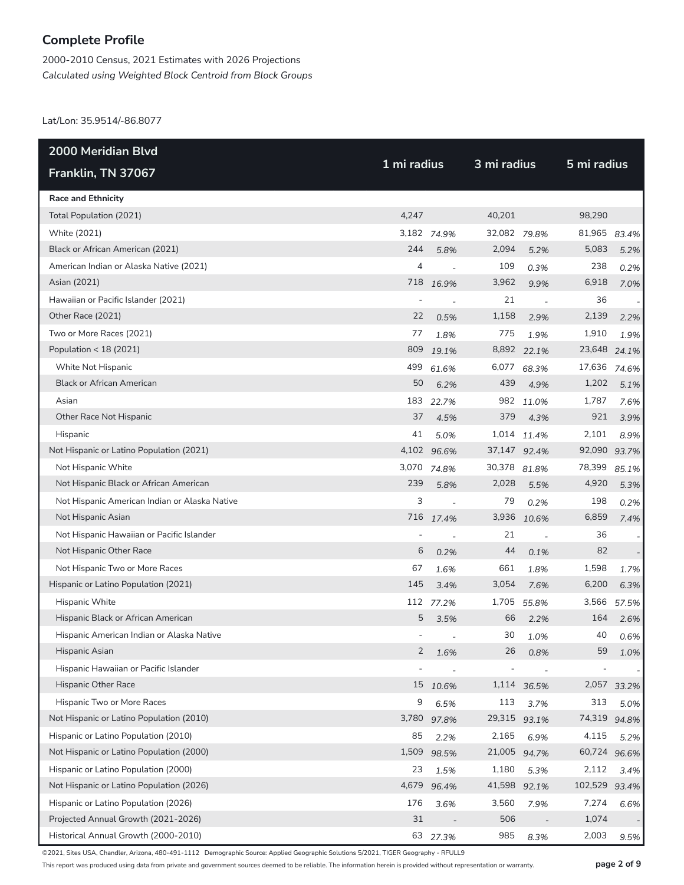2000-2010 Census, 2021 Estimates with 2026 Projections *Calculated using Weighted Block Centroid from Block Groups*

Lat/Lon: 35.9514/-86.8077

| <b>2000 Meridian Blvd</b>                     |             |                          |              | 3 mi radius |              |       |  |
|-----------------------------------------------|-------------|--------------------------|--------------|-------------|--------------|-------|--|
| Franklin, TN 37067                            | 1 mi radius |                          |              |             | 5 mi radius  |       |  |
| <b>Race and Ethnicity</b>                     |             |                          |              |             |              |       |  |
| Total Population (2021)                       | 4,247       |                          | 40,201       |             | 98,290       |       |  |
| White (2021)                                  |             | 3,182 74.9%              | 32,082 79.8% |             | 81,965       | 83.4% |  |
| Black or African American (2021)              | 244         | 5.8%                     | 2,094        | 5.2%        | 5,083        | 5.2%  |  |
| American Indian or Alaska Native (2021)       | 4           | $\overline{\phantom{a}}$ | 109          | 0.3%        | 238          | 0.2%  |  |
| Asian (2021)                                  | 718         | 16.9%                    | 3,962        | 9.9%        | 6,918        | 7.0%  |  |
| Hawaiian or Pacific Islander (2021)           |             |                          | 21           | $\sim$      | 36           |       |  |
| Other Race (2021)                             | 22          | 0.5%                     | 1,158        | 2.9%        | 2,139        | 2.2%  |  |
| Two or More Races (2021)                      | 77          | 1.8%                     | 775          | 1.9%        | 1,910        | 1.9%  |  |
| Population < 18 (2021)                        | 809         | 19.1%                    |              | 8,892 22.1% | 23,648       | 24.1% |  |
| White Not Hispanic                            | 499         | 61.6%                    | 6,077        | 68.3%       | 17,636       | 74.6% |  |
| <b>Black or African American</b>              | 50          | 6.2%                     | 439          | 4.9%        | 1,202        | 5.1%  |  |
| Asian                                         | 183         | 22.7%                    | 982          | 11.0%       | 1,787        | 7.6%  |  |
| Other Race Not Hispanic                       | 37          | 4.5%                     | 379          | 4.3%        | 921          | 3.9%  |  |
| Hispanic                                      | 41          | 5.0%                     |              | 1,014 11.4% | 2,101        | 8.9%  |  |
| Not Hispanic or Latino Population (2021)      |             | 4,102 96.6%              | 37,147 92.4% |             | 92,090       | 93.7% |  |
| Not Hispanic White                            | 3,070       | 74.8%                    | 30,378 81.8% |             | 78,399       | 85.1% |  |
| Not Hispanic Black or African American        | 239         | 5.8%                     | 2,028        | 5.5%        | 4,920        | 5.3%  |  |
| Not Hispanic American Indian or Alaska Native | 3           | $\overline{\phantom{a}}$ | 79           | 0.2%        | 198          | 0.2%  |  |
| Not Hispanic Asian                            |             | 716 17.4%                | 3,936        | 10.6%       | 6,859        | 7.4%  |  |
| Not Hispanic Hawaiian or Pacific Islander     |             |                          | 21           | $\sim$      | 36           |       |  |
| Not Hispanic Other Race                       | 6           | 0.2%                     | 44           | 0.1%        | 82           |       |  |
| Not Hispanic Two or More Races                | 67          | 1.6%                     | 661          | 1.8%        | 1,598        | 1.7%  |  |
| Hispanic or Latino Population (2021)          | 145         | 3.4%                     | 3,054        | 7.6%        | 6,200        | 6.3%  |  |
| Hispanic White                                |             | 112 77.2%                | 1,705        | 55.8%       | 3,566        | 57.5% |  |
| Hispanic Black or African American            | 5           | 3.5%                     | 66           | 2.2%        | 164          | 2.6%  |  |
| Hispanic American Indian or Alaska Native     |             | $\overline{a}$           | 30           | 1.0%        | 40           | 0.6%  |  |
| Hispanic Asian                                | 2           | 1.6%                     | 26           | 0.8%        | 59           | 1.0%  |  |
| Hispanic Hawaiian or Pacific Islander         |             |                          |              |             |              |       |  |
| <b>Hispanic Other Race</b>                    | 15          | 10.6%                    | 1,114        | 36.5%       | 2,057        | 33.2% |  |
| Hispanic Two or More Races                    | 9           | 6.5%                     | 113          | 3.7%        | 313          | 5.0%  |  |
| Not Hispanic or Latino Population (2010)      | 3,780       | 97.8%                    | 29,315       | 93.1%       | 74,319       | 94.8% |  |
| Hispanic or Latino Population (2010)          | 85          | 2.2%                     | 2,165        | 6.9%        | 4,115        | 5.2%  |  |
| Not Hispanic or Latino Population (2000)      | 1,509       | 98.5%                    | 21,005       | 94.7%       | 60,724 96.6% |       |  |
| Hispanic or Latino Population (2000)          | 23          | 1.5%                     | 1,180        | 5.3%        | 2,112        | 3.4%  |  |
| Not Hispanic or Latino Population (2026)      | 4,679       | 96.4%                    | 41,598       | 92.1%       | 102,529      | 93.4% |  |
| Hispanic or Latino Population (2026)          | 176         | 3.6%                     | 3,560        | 7.9%        | 7,274        | 6.6%  |  |
| Projected Annual Growth (2021-2026)           | 31          |                          | 506          |             | 1,074        |       |  |
| Historical Annual Growth (2000-2010)          |             | 63 27.3%                 | 985          | 8.3%        | 2,003        | 9.5%  |  |

©2021, Sites USA, Chandler, Arizona, 480-491-1112 Demographic Source: Applied Geographic Solutions 5/2021, TIGER Geography - RFULL9

This report was produced using data from private and government sources deemed to be reliable. The information herein is provided without representation or warranty. **page 2 of 9**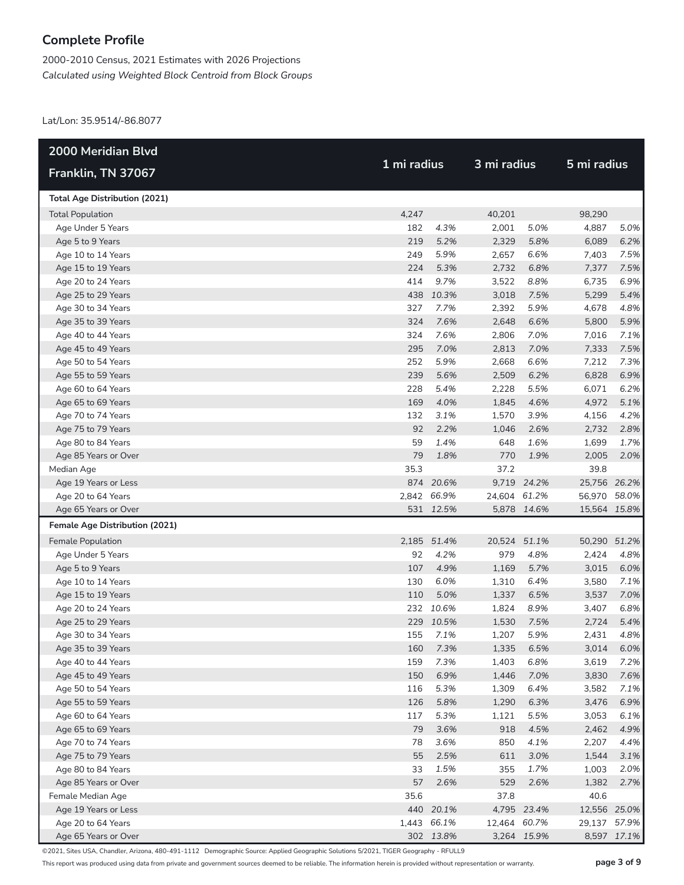2000-2010 Census, 2021 Estimates with 2026 Projections *Calculated using Weighted Block Centroid from Block Groups*

Lat/Lon: 35.9514/-86.8077

| <b>2000 Meridian Blvd</b>                 |            |             | 3 mi radius  |             | 5 mi radius   |             |
|-------------------------------------------|------------|-------------|--------------|-------------|---------------|-------------|
| Franklin, TN 37067                        |            | 1 mi radius |              |             |               |             |
| <b>Total Age Distribution (2021)</b>      |            |             |              |             |               |             |
| <b>Total Population</b>                   | 4,247      |             | 40,201       |             | 98,290        |             |
| Age Under 5 Years                         | 182        | 4.3%        | 2,001        | 5.0%        | 4,887         | 5.0%        |
| Age 5 to 9 Years                          | 219        | 5.2%        | 2,329        | 5.8%        | 6,089         | 6.2%        |
| Age 10 to 14 Years                        | 249        | 5.9%        | 2,657        | 6.6%        | 7,403         | 7.5%        |
| Age 15 to 19 Years                        | 224        | 5.3%        | 2,732        | 6.8%        | 7,377         | 7.5%        |
| Age 20 to 24 Years                        | 414        | 9.7%        | 3,522        | 8.8%        | 6,735         | 6.9%        |
| Age 25 to 29 Years                        |            | 438 10.3%   | 3,018        | 7.5%        | 5,299         | 5.4%        |
| Age 30 to 34 Years                        | 327        | 7.7%        | 2,392        | 5.9%        | 4,678         | 4.8%        |
| Age 35 to 39 Years                        | 324        | 7.6%        | 2,648        | 6.6%        | 5,800         | 5.9%        |
| Age 40 to 44 Years                        | 324        | 7.6%        | 2,806        | 7.0%        | 7,016         | 7.1%        |
| Age 45 to 49 Years                        | 295        | 7.0%        | 2,813        | 7.0%        | 7,333         | 7.5%        |
| Age 50 to 54 Years                        | 252        | 5.9%        | 2,668        | 6.6%        | 7,212         | 7.3%        |
| Age 55 to 59 Years                        | 239        | 5.6%        | 2,509        | 6.2%        | 6,828         | 6.9%        |
| Age 60 to 64 Years                        | 228        | 5.4%        | 2,228        | 5.5%        | 6,071         | 6.2%        |
| Age 65 to 69 Years                        | 169        | 4.0%        | 1,845        | 4.6%        | 4,972         | 5.1%        |
| Age 70 to 74 Years                        | 132        | 3.1%        | 1,570        | 3.9%        | 4,156         | 4.2%        |
| Age 75 to 79 Years                        | 92         | 2.2%        | 1,046        | 2.6%        | 2,732         | 2.8%        |
| Age 80 to 84 Years                        | 59         | 1.4%        | 648          | 1.6%        | 1,699         | 1.7%        |
| Age 85 Years or Over                      | 79         | 1.8%        | 770          | 1.9%        | 2,005         | 2.0%        |
| Median Age                                | 35.3       |             | 37.2         |             | 39.8          |             |
| Age 19 Years or Less                      |            | 874 20.6%   |              | 9,719 24.2% | 25,756 26.2%  |             |
| Age 20 to 64 Years                        |            | 2,842 66.9% | 24,604 61.2% |             | 56,970 58.0%  |             |
| Age 65 Years or Over                      |            | 531 12.5%   |              | 5,878 14.6% | 15,564 15.8%  |             |
| Female Age Distribution (2021)            |            |             |              |             |               |             |
| Female Population                         |            | 2,185 51.4% | 20,524 51.1% |             | 50,290 51.2%  |             |
| Age Under 5 Years                         | 92         | 4.2%        | 979          | 4.8%        | 2,424         | 4.8%        |
| Age 5 to 9 Years                          | 107        | 4.9%        | 1,169        | 5.7%        | 3,015         | 6.0%        |
| Age 10 to 14 Years                        | 130        | 6.0%        | 1,310        | 6.4%        | 3,580         | 7.1%        |
| Age 15 to 19 Years                        | 110        | 5.0%        | 1,337        | 6.5%        | 3,537         | 7.0%        |
| Age 20 to 24 Years                        |            | 232 10.6%   | 1,824        | 8.9%        | 3,407         | 6.8%        |
| Age 25 to 29 Years                        |            | 229 10.5%   | 1,530        | 7.5%        | 2,724         | 5.4%        |
| Age 30 to 34 Years                        | 155        | 7.1%        | 1,207        | 5.9%        | 2,431         | 4.8%        |
| Age 35 to 39 Years                        | 160        | 7.3%        |              | 1,335 6.5%  | 3,014         | 6.0%        |
| Age 40 to 44 Years                        | 159        | 7.3%        | 1,403        | 6.8%        | 3,619         | 7.2%        |
| Age 45 to 49 Years                        | 150        | 6.9%        | 1,446        | 7.0%        | 3,830         | 7.6%        |
| Age 50 to 54 Years                        | 116        | 5.3%        | 1,309        | 6.4%        | 3,582         | 7.1%        |
| Age 55 to 59 Years                        | 126        | 5.8%        | 1,290        | 6.3%        | 3,476         | 6.9%        |
| Age 60 to 64 Years                        | 117        | 5.3%        | 1,121        | 5.5%        | 3,053         | 6.1%        |
| Age 65 to 69 Years                        | 79         | 3.6%        | 918          | 4.5%        | 2,462         | 4.9%        |
| Age 70 to 74 Years                        | 78         | 3.6%        | 850          | 4.1%        | 2,207         | 4.4%        |
| Age 75 to 79 Years                        | 55         | 2.5%        | 611          | 3.0%        | 1,544         | 3.1%        |
| Age 80 to 84 Years                        | 33         | 1.5%        | 355          | 1.7%        | 1,003         | 2.0%        |
| Age 85 Years or Over                      | 57<br>35.6 | 2.6%        | 529<br>37.8  | 2.6%        | 1,382<br>40.6 | 2.7%        |
| Female Median Age<br>Age 19 Years or Less |            | 440 20.1%   |              | 4,795 23.4% | 12,556 25.0%  |             |
| Age 20 to 64 Years                        |            | 1,443 66.1% | 12,464 60.7% |             | 29,137 57.9%  |             |
| Age 65 Years or Over                      |            | 302 13.8%   |              | 3,264 15.9% |               | 8,597 17.1% |

©2021, Sites USA, Chandler, Arizona, 480-491-1112 Demographic Source: Applied Geographic Solutions 5/2021, TIGER Geography - RFULL9

This report was produced using data from private and government sources deemed to be reliable. The information herein is provided without representation or warranty. **page 3 of 9**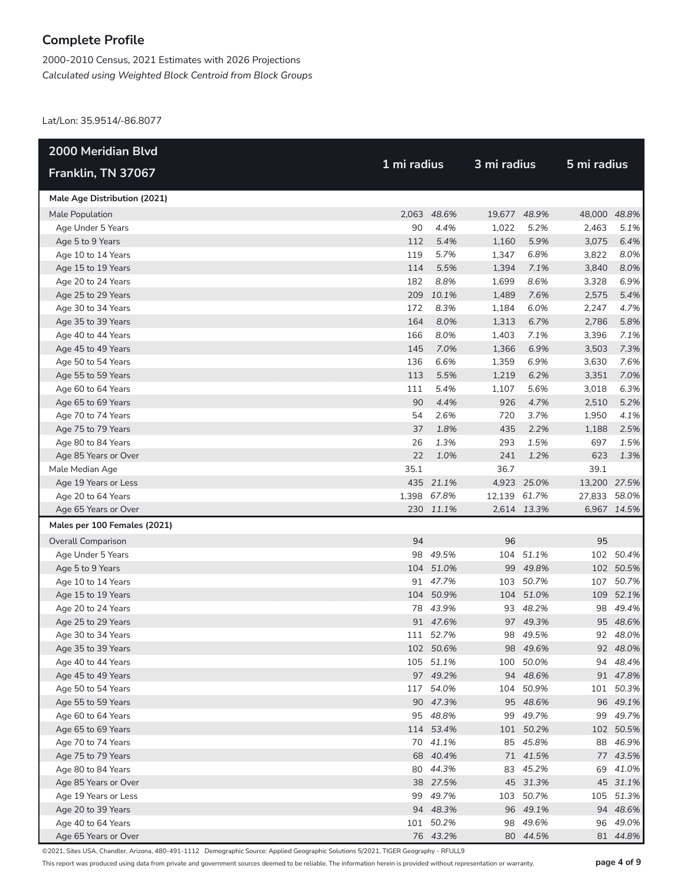2000-2010 Census, 2021 Estimates with 2026 Projections *Calculated using Weighted Block Centroid from Block Groups*

Lat/Lon: 35.9514/-86.8077

| <b>2000 Meridian Blvd</b>                |             |                       |              | 3 mi radius          |              |                      |
|------------------------------------------|-------------|-----------------------|--------------|----------------------|--------------|----------------------|
| Franklin, TN 37067                       | 1 mi radius |                       |              |                      | 5 mi radius  |                      |
| Male Age Distribution (2021)             |             |                       |              |                      |              |                      |
| Male Population                          |             | 2,063 48.6%           | 19,677 48.9% |                      | 48,000 48.8% |                      |
| Age Under 5 Years                        | 90          | 4.4%                  | 1,022        | 5.2%                 | 2,463        | 5.1%                 |
| Age 5 to 9 Years                         | 112         | 5.4%                  | 1,160        | 5.9%                 | 3,075        | 6.4%                 |
| Age 10 to 14 Years                       | 119         | 5.7%                  | 1,347        | 6.8%                 | 3,822        | 8.0%                 |
| Age 15 to 19 Years                       | 114         | 5.5%                  | 1,394        | 7.1%                 | 3,840        | 8.0%                 |
| Age 20 to 24 Years                       | 182         | 8.8%                  | 1,699        | 8.6%                 | 3,328        | 6.9%                 |
| Age 25 to 29 Years                       |             | 209 10.1%             | 1,489        | 7.6%                 | 2,575        | 5.4%                 |
| Age 30 to 34 Years                       | 172         | 8.3%                  | 1,184        | 6.0%                 | 2,247        | 4.7%                 |
| Age 35 to 39 Years                       | 164         | 8.0%                  | 1,313        | 6.7%                 | 2,786        | 5.8%                 |
| Age 40 to 44 Years                       | 166         | 8.0%                  | 1,403        | 7.1%                 | 3,396        | 7.1%                 |
| Age 45 to 49 Years                       | 145         | 7.0%                  | 1,366        | 6.9%                 | 3,503        | 7.3%                 |
| Age 50 to 54 Years                       | 136         | 6.6%                  | 1,359        | 6.9%                 | 3,630        | 7.6%                 |
| Age 55 to 59 Years                       | 113         | 5.5%                  | 1,219        | 6.2%                 | 3,351        | 7.0%                 |
| Age 60 to 64 Years                       | 111         | 5.4%                  | 1,107        | 5.6%                 | 3,018        | 6.3%                 |
| Age 65 to 69 Years                       | 90          | 4.4%                  | 926          | 4.7%                 | 2,510        | 5.2%                 |
| Age 70 to 74 Years                       | 54          | 2.6%                  | 720          | 3.7%                 | 1,950        | 4.1%                 |
| Age 75 to 79 Years                       | 37          | 1.8%                  | 435          | 2.2%                 | 1,188        | 2.5%                 |
| Age 80 to 84 Years                       | 26          | 1.3%                  | 293          | 1.5%                 | 697          | 1.5%                 |
| Age 85 Years or Over                     | 22          | 1.0%                  | 241          | 1.2%                 | 623          | 1.3%                 |
| Male Median Age                          | 35.1        |                       | 36.7         |                      | 39.1         |                      |
| Age 19 Years or Less                     |             | 435 21.1%             |              | 4,923 25.0%          | 13,200 27.5% |                      |
| Age 20 to 64 Years                       |             | 1,398 67.8%           | 12,139 61.7% |                      | 27,833 58.0% |                      |
| Age 65 Years or Over                     |             | 230 11.1%             |              | 2,614 13.3%          |              | 6,967 14.5%          |
| Males per 100 Females (2021)             |             |                       |              |                      |              |                      |
| <b>Overall Comparison</b>                | 94          |                       | 96           |                      | 95           |                      |
| Age Under 5 Years                        |             | 98 49.5%              | 104          | 51.1%                |              | 102 50.4%            |
| Age 5 to 9 Years                         |             | 104 51.0%             |              | 99 49.8%             |              | 102 50.5%            |
| Age 10 to 14 Years                       |             | 91 47.7%              | 103          | 50.7%                |              | 107 50.7%            |
| Age 15 to 19 Years                       |             | 104 50.9%             |              | 104 51.0%            |              | 109 52.1%            |
| Age 20 to 24 Years                       |             | 78 43.9%              |              | 93 48.2%             |              | 98 49.4%             |
| Age 25 to 29 Years                       |             | 91 47.6%              |              | 97 49.3%             |              | 95 48.6%             |
| Age 30 to 34 Years                       |             | 111 52.7%             |              | 98 49.5%             |              | 92 48.0%             |
| Age 35 to 39 Years                       |             | 102 50.6%             |              | 98 49.6%             |              | 92 48.0%             |
| Age 40 to 44 Years                       |             | 105 51.1%             |              | 100 50.0%            |              | 94 48.4%             |
| Age 45 to 49 Years                       |             | 97 49.2%              |              | 94 48.6%             |              | 91 47.8%             |
| Age 50 to 54 Years                       |             | 117 54.0%             |              | 104 50.9%            |              | 101 50.3%            |
| Age 55 to 59 Years                       |             | 90 47.3%              |              | 95 48.6%             |              | 96 49.1%             |
| Age 60 to 64 Years                       |             | 95 48.8%              |              | 99 49.7%             |              | 99 49.7%             |
| Age 65 to 69 Years                       |             | 114 53.4%             |              | 101 50.2%            |              | 102 50.5%            |
| Age 70 to 74 Years                       |             | 70 41.1%              |              | 85 45.8%             |              | 88 46.9%             |
| Age 75 to 79 Years                       |             | 68 40.4%              |              | 71 41.5%             |              | 77 43.5%             |
| Age 80 to 84 Years                       |             | 80 44.3%              |              | 83 45.2%             |              | 69 41.0%             |
| Age 85 Years or Over                     |             | 38 27.5%              |              | 45 31.3%             |              | 45 31.1%             |
| Age 19 Years or Less                     |             | 99 49.7%              |              | 103 50.7%            |              | 105 51.3%            |
| Age 20 to 39 Years<br>Age 40 to 64 Years |             | 94 48.3%<br>101 50.2% |              | 96 49.1%<br>98 49.6% |              | 94 48.6%<br>96 49.0% |
| Age 65 Years or Over                     |             | 76 43.2%              |              | 80 44.5%             |              | 81 44.8%             |
|                                          |             |                       |              |                      |              |                      |

©2021, Sites USA, Chandler, Arizona, 480-491-1112 Demographic Source: Applied Geographic Solutions 5/2021, TIGER Geography - RFULL9

This report was produced using data from private and government sources deemed to be reliable. The information herein is provided without representation or warranty. **page 4 of 9**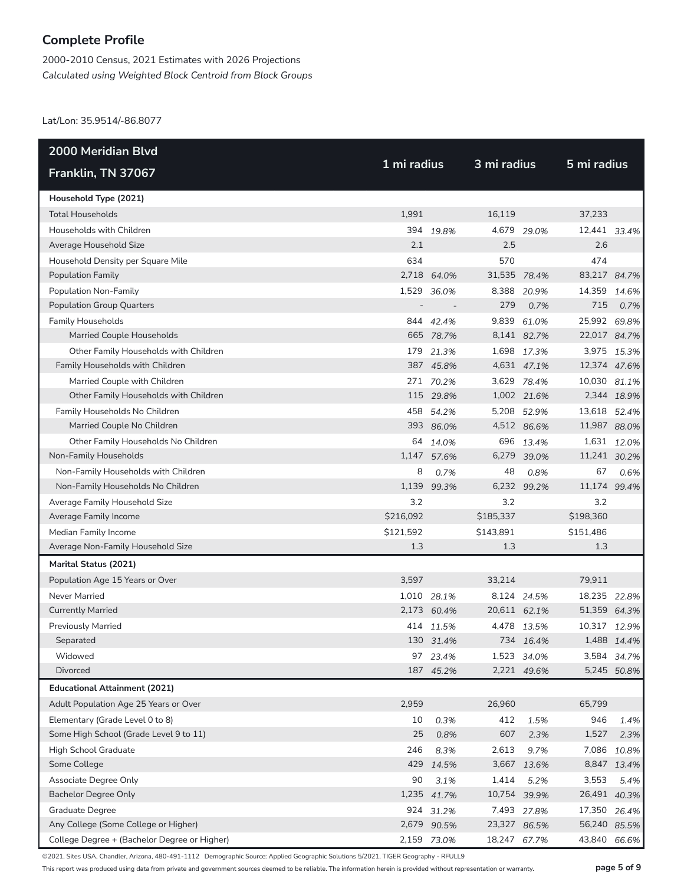2000-2010 Census, 2021 Estimates with 2026 Projections *Calculated using Weighted Block Centroid from Block Groups*

Lat/Lon: 35.9514/-86.8077

| <b>2000 Meridian Blvd</b>                    | 1 mi radius |             |              | 3 mi radius |              |             |
|----------------------------------------------|-------------|-------------|--------------|-------------|--------------|-------------|
| Franklin, TN 37067                           |             |             |              |             | 5 mi radius  |             |
| Household Type (2021)                        |             |             |              |             |              |             |
| <b>Total Households</b>                      | 1,991       |             | 16,119       |             | 37,233       |             |
| Households with Children                     |             | 394 19.8%   |              | 4,679 29.0% | 12,441 33.4% |             |
| Average Household Size                       | 2.1         |             | 2.5          |             | 2.6          |             |
| Household Density per Square Mile            | 634         |             | 570          |             | 474          |             |
| <b>Population Family</b>                     |             | 2,718 64.0% | 31,535 78.4% |             | 83,217 84.7% |             |
| Population Non-Family                        |             | 1,529 36.0% |              | 8,388 20.9% | 14,359       | 14.6%       |
| <b>Population Group Quarters</b>             |             |             | 279          | 0.7%        | 715          | 0.7%        |
| <b>Family Households</b>                     |             | 844 42.4%   |              | 9,839 61.0% | 25,992 69.8% |             |
| Married Couple Households                    |             | 665 78.7%   |              | 8,141 82.7% | 22,017 84.7% |             |
| Other Family Households with Children        |             | 179 21.3%   |              | 1,698 17.3% |              | 3,975 15.3% |
| Family Households with Children              |             | 387 45.8%   |              | 4,631 47.1% | 12,374 47.6% |             |
| Married Couple with Children                 |             | 271 70.2%   |              | 3,629 78.4% | 10,030 81.1% |             |
| Other Family Households with Children        |             | 115 29.8%   |              | 1,002 21.6% |              | 2,344 18.9% |
| Family Households No Children                |             | 458 54.2%   |              | 5,208 52.9% | 13,618 52.4% |             |
| Married Couple No Children                   |             | 393 86.0%   |              | 4,512 86.6% | 11,987 88.0% |             |
| Other Family Households No Children          |             | 64 14.0%    |              | 696 13.4%   |              | 1,631 12.0% |
| Non-Family Households                        |             | 1,147 57.6% |              | 6,279 39.0% | 11,241 30.2% |             |
| Non-Family Households with Children          | 8           | 0.7%        | 48           | 0.8%        | 67           | 0.6%        |
| Non-Family Households No Children            | 1,139       | 99.3%       | 6,232        | 99.2%       | 11,174 99.4% |             |
| Average Family Household Size                | 3.2         |             | 3.2          |             | 3.2          |             |
| Average Family Income                        | \$216,092   |             | \$185,337    |             | \$198,360    |             |
| Median Family Income                         | \$121,592   |             | \$143,891    |             | \$151,486    |             |
| Average Non-Family Household Size            | 1.3         |             | 1.3          |             | 1.3          |             |
| Marital Status (2021)                        |             |             |              |             |              |             |
| Population Age 15 Years or Over              | 3,597       |             | 33,214       |             | 79,911       |             |
| Never Married                                |             | 1,010 28.1% |              | 8,124 24.5% | 18,235 22.8% |             |
| <b>Currently Married</b>                     |             | 2,173 60.4% | 20,611 62.1% |             | 51,359 64.3% |             |
| <b>Previously Married</b>                    |             | 414 11.5%   |              | 4,478 13.5% | 10,317 12.9% |             |
| Separated                                    |             | 130 31.4%   |              | 734 16.4%   |              | 1,488 14.4% |
| Widowed                                      |             | 97 23.4%    |              | 1,523 34.0% |              | 3,584 34.7% |
| Divorced                                     |             | 187 45.2%   |              | 2,221 49.6% |              | 5,245 50.8% |
| <b>Educational Attainment (2021)</b>         |             |             |              |             |              |             |
| Adult Population Age 25 Years or Over        | 2,959       |             | 26,960       |             | 65,799       |             |
| Elementary (Grade Level 0 to 8)              | 10          | 0.3%        | 412          | 1.5%        | 946          | 1.4%        |
| Some High School (Grade Level 9 to 11)       | 25          | 0.8%        | 607          | 2.3%        | 1,527        | 2.3%        |
| High School Graduate                         | 246         | 8.3%        | 2,613        | 9.7%        | 7,086        | 10.8%       |
| Some College                                 | 429         | 14.5%       | 3,667        | 13.6%       |              | 8,847 13.4% |
| Associate Degree Only                        | 90          | 3.1%        | 1,414        | 5.2%        | 3,553        | 5.4%        |
| <b>Bachelor Degree Only</b>                  | 1,235       | 41.7%       | 10,754 39.9% |             | 26,491 40.3% |             |
| <b>Graduate Degree</b>                       |             | 924 31.2%   |              | 7,493 27.8% | 17,350 26.4% |             |
| Any College (Some College or Higher)         |             | 2,679 90.5% | 23,327 86.5% |             | 56,240 85.5% |             |
| College Degree + (Bachelor Degree or Higher) |             | 2,159 73.0% | 18,247 67.7% |             | 43,840 66.6% |             |

©2021, Sites USA, Chandler, Arizona, 480-491-1112 Demographic Source: Applied Geographic Solutions 5/2021, TIGER Geography - RFULL9

This report was produced using data from private and government sources deemed to be reliable. The information herein is provided without representation or warranty. **page 5 of 9**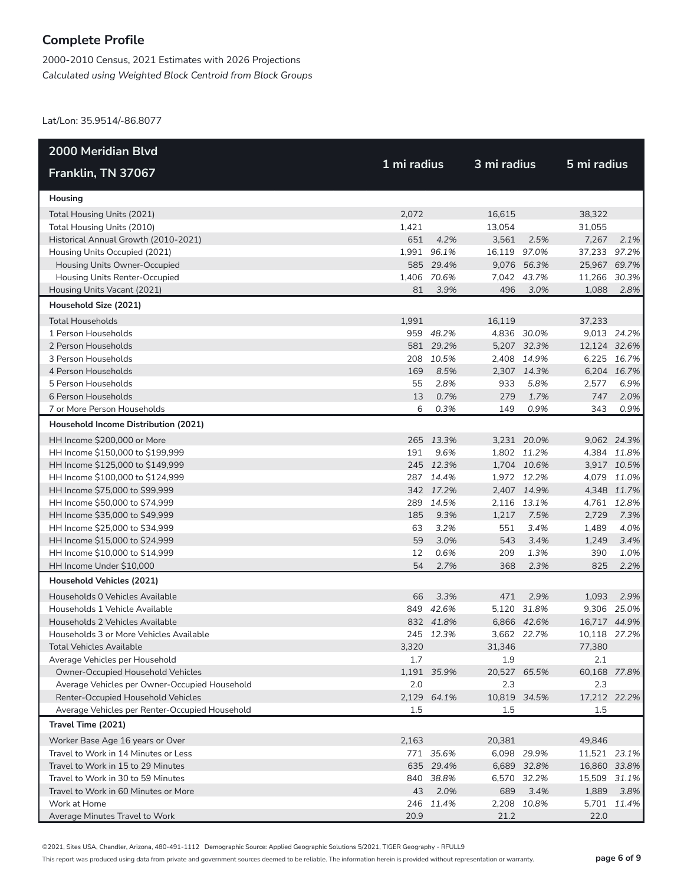2000-2010 Census, 2021 Estimates with 2026 Projections *Calculated using Weighted Block Centroid from Block Groups*

Lat/Lon: 35.9514/-86.8077

| <b>2000 Meridian Blvd</b>                      |             |             |              |             |              |             |
|------------------------------------------------|-------------|-------------|--------------|-------------|--------------|-------------|
| Franklin, TN 37067                             | 1 mi radius |             | 3 mi radius  |             | 5 mi radius  |             |
| Housing                                        |             |             |              |             |              |             |
| Total Housing Units (2021)                     | 2,072       |             | 16,615       |             | 38,322       |             |
| Total Housing Units (2010)                     | 1,421       |             | 13,054       |             | 31,055       |             |
| Historical Annual Growth (2010-2021)           | 651         | 4.2%        | 3,561        | 2.5%        | 7,267        | 2.1%        |
| Housing Units Occupied (2021)                  |             | 1,991 96.1% | 16,119 97.0% |             | 37,233       | 97.2%       |
| Housing Units Owner-Occupied                   |             | 585 29.4%   |              | 9,076 56.3% | 25,967 69.7% |             |
| Housing Units Renter-Occupied                  |             | 1,406 70.6% |              | 7,042 43.7% | 11,266 30.3% |             |
| Housing Units Vacant (2021)                    | 81          | 3.9%        | 496          | 3.0%        | 1,088        | 2.8%        |
| Household Size (2021)                          |             |             |              |             |              |             |
| <b>Total Households</b>                        | 1,991       |             | 16,119       |             | 37,233       |             |
| 1 Person Households                            |             | 959 48.2%   |              | 4,836 30.0% |              | 9,013 24.2% |
| 2 Person Households                            |             | 581 29.2%   |              | 5,207 32.3% | 12,124 32.6% |             |
| 3 Person Households                            |             | 208 10.5%   |              | 2,408 14.9% |              | 6,225 16.7% |
| 4 Person Households                            | 169         | 8.5%        |              | 2,307 14.3% |              | 6,204 16.7% |
| 5 Person Households                            | 55          | 2.8%        | 933          | 5.8%        | 2,577        | 6.9%        |
| 6 Person Households                            | 13          | 0.7%        | 279          | 1.7%        | 747          | 2.0%        |
| 7 or More Person Households                    | 6           | 0.3%        | 149          | 0.9%        | 343          | 0.9%        |
| Household Income Distribution (2021)           |             |             |              |             |              |             |
| HH Income \$200,000 or More                    |             | 265 13.3%   |              | 3,231 20.0% |              | 9,062 24.3% |
| HH Income \$150,000 to \$199,999               | 191         | 9.6%        |              | 1,802 11.2% |              | 4,384 11.8% |
| HH Income \$125,000 to \$149,999               |             | 245 12.3%   |              | 1,704 10.6% |              | 3,917 10.5% |
| HH Income \$100,000 to \$124,999               |             | 287 14.4%   |              | 1,972 12.2% |              | 4,079 11.0% |
| HH Income \$75,000 to \$99,999                 |             | 342 17.2%   |              | 2,407 14.9% |              | 4,348 11.7% |
| HH Income \$50,000 to \$74,999                 |             | 289 14.5%   |              | 2,116 13.1% |              | 4,761 12.8% |
| HH Income \$35,000 to \$49,999                 | 185         | 9.3%        | 1,217        | 7.5%        | 2,729        | 7.3%        |
| HH Income \$25,000 to \$34,999                 | 63          | 3.2%        | 551          | 3.4%        | 1,489        | 4.0%        |
| HH Income \$15,000 to \$24,999                 | 59          | 3.0%        | 543          | 3.4%        | 1,249        | 3.4%        |
| HH Income \$10,000 to \$14,999                 | 12          | 0.6%        | 209          | 1.3%        | 390          | 1.0%        |
| HH Income Under \$10,000                       | 54          | 2.7%        | 368          | 2.3%        | 825          | 2.2%        |
| Household Vehicles (2021)                      |             |             |              |             |              |             |
| Households 0 Vehicles Available                | 66          | 3.3%        | 471          | 2.9%        | 1,093        | 2.9%        |
| Households 1 Vehicle Available                 |             | 849 42.6%   |              | 5,120 31.8% |              | 9,306 25.0% |
| Households 2 Vehicles Available                |             | 832 41.8%   |              | 6,866 42.6% | 16,717 44.9% |             |
| Households 3 or More Vehicles Available        |             | 245 12.3%   |              | 3,662 22.7% | 10,118 27.2% |             |
| <b>Total Vehicles Available</b>                | 3,320       |             | 31,346       |             | 77,380       |             |
| Average Vehicles per Household                 | 1.7         |             | 1.9          |             | 2.1          |             |
| Owner-Occupied Household Vehicles              |             | 1,191 35.9% | 20,527 65.5% |             | 60,168 77.8% |             |
| Average Vehicles per Owner-Occupied Household  | 2.0         |             | 2.3          |             | 2.3          |             |
| Renter-Occupied Household Vehicles             |             | 2,129 64.1% | 10,819 34.5% |             | 17,212 22.2% |             |
| Average Vehicles per Renter-Occupied Household | 1.5         |             | 1.5          |             | 1.5          |             |
| Travel Time (2021)                             |             |             |              |             |              |             |
| Worker Base Age 16 years or Over               | 2,163       |             | 20,381       |             | 49,846       |             |
| Travel to Work in 14 Minutes or Less           |             | 771 35.6%   |              | 6,098 29.9% | 11,521 23.1% |             |
| Travel to Work in 15 to 29 Minutes             |             | 635 29.4%   |              | 6,689 32.8% | 16,860 33.8% |             |
| Travel to Work in 30 to 59 Minutes             |             | 840 38.8%   |              | 6,570 32.2% | 15,509 31.1% |             |
| Travel to Work in 60 Minutes or More           | 43          | 2.0%        | 689          | 3.4%        | 1,889        | 3.8%        |
| Work at Home                                   | 246         | 11.4%       |              | 2,208 10.8% |              | 5,701 11.4% |
| Average Minutes Travel to Work                 | 20.9        |             | 21.2         |             | 22.0         |             |

©2021, Sites USA, Chandler, Arizona, 480-491-1112 Demographic Source: Applied Geographic Solutions 5/2021, TIGER Geography - RFULL9

This report was produced using data from private and government sources deemed to be reliable. The information herein is provided without representation or warranty. **page 6 of 9**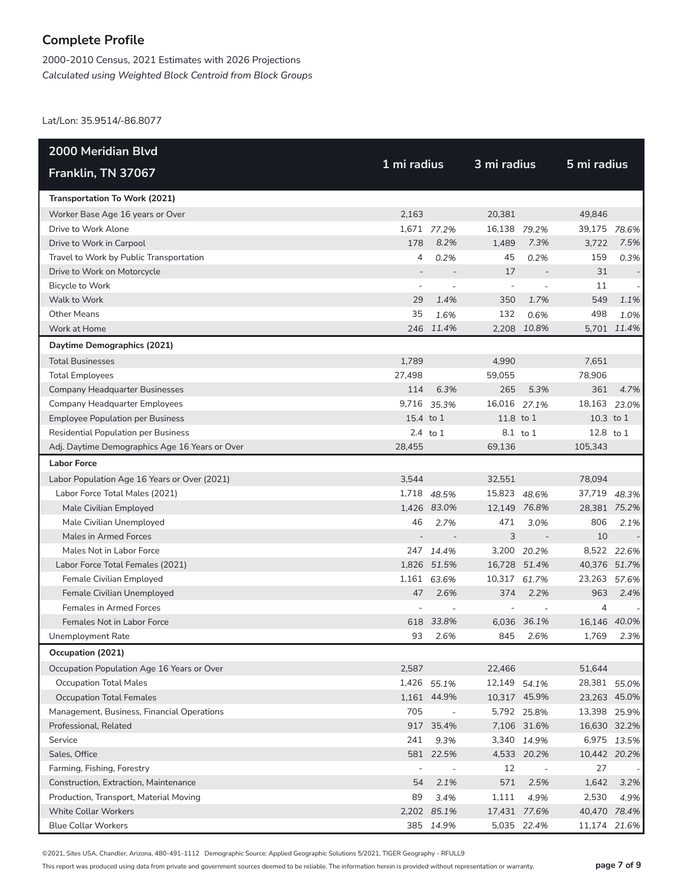2000-2010 Census, 2021 Estimates with 2026 Projections *Calculated using Weighted Block Centroid from Block Groups*

Lat/Lon: 35.9514/-86.8077

| <b>2000 Meridian Blvd</b>                      |             |                          |                          |                          |              |              |  |
|------------------------------------------------|-------------|--------------------------|--------------------------|--------------------------|--------------|--------------|--|
| Franklin, TN 37067                             | 1 mi radius |                          | 3 mi radius              |                          | 5 mi radius  |              |  |
| Transportation To Work (2021)                  |             |                          |                          |                          |              |              |  |
| Worker Base Age 16 years or Over               | 2,163       |                          | 20,381                   |                          | 49.846       |              |  |
| Drive to Work Alone                            |             | 1,671 77.2%              | 16,138 79.2%             |                          | 39,175 78.6% |              |  |
| Drive to Work in Carpool                       | 178         | 8.2%                     | 1,489                    | 7.3%                     | 3,722        | 7.5%         |  |
| Travel to Work by Public Transportation        | 4           | 0.2%                     | 45                       | 0.2%                     | 159          | 0.3%         |  |
| Drive to Work on Motorcycle                    |             |                          | 17                       |                          | 31           |              |  |
| Bicycle to Work                                |             |                          | $\overline{\phantom{a}}$ |                          | 11           |              |  |
| Walk to Work                                   | 29          | 1.4%                     | 350                      | 1.7%                     | 549          | 1.1%         |  |
| <b>Other Means</b>                             | 35          | 1.6%                     | 132                      | 0.6%                     | 498          | 1.0%         |  |
| Work at Home                                   |             | 246 11.4%                |                          | 2,208 10.8%              |              | 5,701 11.4%  |  |
| Daytime Demographics (2021)                    |             |                          |                          |                          |              |              |  |
| <b>Total Businesses</b>                        | 1,789       |                          | 4,990                    |                          | 7,651        |              |  |
| <b>Total Employees</b>                         | 27,498      |                          | 59,055                   |                          | 78,906       |              |  |
| <b>Company Headquarter Businesses</b>          | 114         | 6.3%                     | 265                      | 5.3%                     | 361          | 4.7%         |  |
| Company Headquarter Employees                  | 9,716       | 35.3%                    | 16,016                   | 27.1%                    | 18,163       | 23.0%        |  |
| <b>Employee Population per Business</b>        | 15.4 to 1   |                          | 11.8 to 1                |                          | 10.3 to 1    |              |  |
| <b>Residential Population per Business</b>     |             | $2.4$ to $1$             |                          | 8.1 to 1                 | 12.8 to 1    |              |  |
| Adj. Daytime Demographics Age 16 Years or Over | 28,455      |                          | 69,136                   |                          | 105,343      |              |  |
| <b>Labor Force</b>                             |             |                          |                          |                          |              |              |  |
| Labor Population Age 16 Years or Over (2021)   | 3,544       |                          | 32,551                   |                          | 78,094       |              |  |
| Labor Force Total Males (2021)                 |             | 1,718 48.5%              | 15,823 48.6%             |                          | 37,719       | 48.3%        |  |
| Male Civilian Employed                         |             | 1,426 83.0%              |                          | 12,149 76.8%             | 28,381 75.2% |              |  |
| Male Civilian Unemployed                       | 46          | 2.7%                     | 471                      | 3.0%                     | 806          | 2.1%         |  |
| Males in Armed Forces                          |             | $\overline{\phantom{a}}$ | 3                        |                          | 10           |              |  |
| Males Not in Labor Force                       |             | 247 14.4%                |                          | 3,200 20.2%              |              | 8,522 22.6%  |  |
| Labor Force Total Females (2021)               |             | 1,826 51.5%              |                          | 16,728 51.4%             | 40,376 51.7% |              |  |
| Female Civilian Employed                       |             | 1,161 63.6%              | 10,317 61.7%             |                          | 23,263       | 57.6%        |  |
| Female Civilian Unemployed                     | 47          | 2.6%                     | 374                      | 2.2%                     | 963          | 2.4%         |  |
| <b>Females in Armed Forces</b>                 |             |                          |                          |                          | 4            |              |  |
| Females Not in Labor Force                     | 618         | 33.8%                    | 6,036                    | 36.1%                    |              | 16,146 40.0% |  |
| Unemployment Rate                              | 93          | 2.6%                     | 845                      | 2.6%                     | 1,769        | 2.3%         |  |
| Occupation (2021)                              |             |                          |                          |                          |              |              |  |
| Occupation Population Age 16 Years or Over     | 2,587       |                          | 22,466                   |                          | 51,644       |              |  |
| <b>Occupation Total Males</b>                  |             | 1,426 55.1%              | 12,149 54.1%             |                          |              | 28,381 55.0% |  |
| <b>Occupation Total Females</b>                |             | 1,161 44.9%              |                          | 10,317 45.9%             |              | 23,263 45.0% |  |
| Management, Business, Financial Operations     | 705         | $\overline{\phantom{a}}$ |                          | 5,792 25.8%              |              | 13,398 25.9% |  |
| Professional, Related                          |             | 917 35.4%                |                          | 7,106 31.6%              |              | 16,630 32.2% |  |
| Service                                        | 241         | 9.3%                     |                          | 3,340 14.9%              |              | 6,975 13.5%  |  |
| Sales, Office                                  |             | 581 22.5%                |                          | 4,533 20.2%              | 10,442 20.2% |              |  |
| Farming, Fishing, Forestry                     |             | $\overline{\phantom{a}}$ | 12                       | $\overline{\phantom{a}}$ | 27           |              |  |
| Construction, Extraction, Maintenance          | 54          | 2.1%                     | 571                      | 2.5%                     | 1,642        | 3.2%         |  |
| Production, Transport, Material Moving         | 89          | 3.4%                     | 1,111                    | 4.9%                     | 2,530        | 4.9%         |  |
| <b>White Collar Workers</b>                    |             | 2,202 85.1%              |                          | 17,431 77.6%             | 40,470 78.4% |              |  |
| <b>Blue Collar Workers</b>                     |             | 385 14.9%                |                          | 5,035 22.4%              |              | 11,174 21.6% |  |

©2021, Sites USA, Chandler, Arizona, 480-491-1112 Demographic Source: Applied Geographic Solutions 5/2021, TIGER Geography - RFULL9

This report was produced using data from private and government sources deemed to be reliable. The information herein is provided without representation or warranty. **page 7 of 9**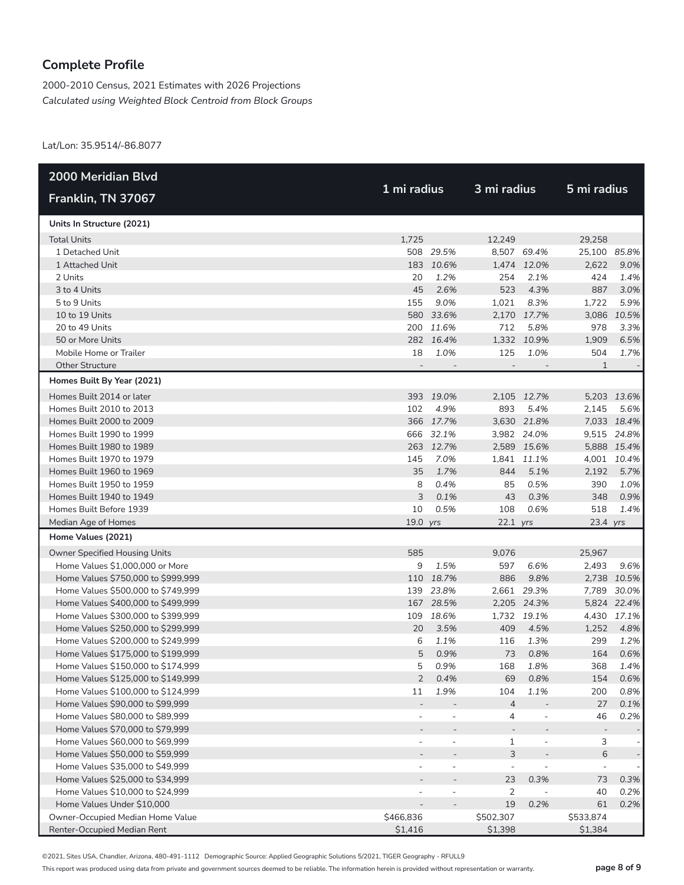2000-2010 Census, 2021 Estimates with 2026 Projections *Calculated using Weighted Block Centroid from Block Groups*

Lat/Lon: 35.9514/-86.8077

| 2000 Meridian Blvd                   |                          |                          |                          |                          |              |             |
|--------------------------------------|--------------------------|--------------------------|--------------------------|--------------------------|--------------|-------------|
| Franklin, TN 37067                   | 1 mi radius              |                          | 3 mi radius              |                          | 5 mi radius  |             |
| Units In Structure (2021)            |                          |                          |                          |                          |              |             |
| <b>Total Units</b>                   | 1,725                    |                          | 12,249                   |                          | 29,258       |             |
| 1 Detached Unit                      |                          | 508 29.5%                |                          | 8,507 69.4%              | 25,100 85.8% |             |
| 1 Attached Unit                      |                          | 183 10.6%                |                          | 1,474 12.0%              | 2,622        | 9.0%        |
| 2 Units                              | 20                       | 1.2%                     | 254                      | 2.1%                     | 424          | 1.4%        |
| 3 to 4 Units                         | 45                       | 2.6%                     | 523                      | 4.3%                     | 887          | 3.0%        |
| 5 to 9 Units                         | 155                      | 9.0%                     | 1,021                    | 8.3%                     | 1,722        | 5.9%        |
| 10 to 19 Units                       |                          | 580 33.6%                |                          | 2,170 17.7%              |              | 3,086 10.5% |
| 20 to 49 Units                       |                          | 200 11.6%                | 712                      | 5.8%                     | 978          | 3.3%        |
| 50 or More Units                     |                          | 282 16.4%                |                          | 1,332 10.9%              | 1,909        | 6.5%        |
| Mobile Home or Trailer               | 18                       | 1.0%                     | 125                      | 1.0%                     | 504          | 1.7%        |
| <b>Other Structure</b>               | $\overline{\phantom{a}}$ |                          | $\overline{\phantom{a}}$ | $\overline{\phantom{a}}$ | 1            |             |
| Homes Built By Year (2021)           |                          |                          |                          |                          |              |             |
| Homes Built 2014 or later            |                          | 393 19.0%                |                          | 2,105 12.7%              |              | 5,203 13.6% |
| Homes Built 2010 to 2013             | 102                      | 4.9%                     | 893                      | 5.4%                     | 2,145        | 5.6%        |
| Homes Built 2000 to 2009             |                          | 366 17.7%                |                          | 3,630 21.8%              |              | 7,033 18.4% |
| Homes Built 1990 to 1999             |                          | 666 32.1%                |                          | 3,982 24.0%              |              | 9,515 24.8% |
| Homes Built 1980 to 1989             |                          | 263 12.7%                |                          | 2,589 15.6%              |              | 5,888 15.4% |
| Homes Built 1970 to 1979             | 145                      | 7.0%                     |                          | 1,841 11.1%              |              | 4,001 10.4% |
| Homes Built 1960 to 1969             | 35                       | 1.7%                     | 844                      | 5.1%                     | 2,192        | 5.7%        |
| Homes Built 1950 to 1959             | 8                        | 0.4%                     | 85                       | 0.5%                     | 390          | 1.0%        |
| Homes Built 1940 to 1949             | 3                        | 0.1%                     | 43                       | 0.3%                     | 348          | 0.9%        |
| Homes Built Before 1939              | 10                       | 0.5%                     | 108                      | 0.6%                     | 518          | 1.4%        |
| Median Age of Homes                  | 19.0 yrs                 |                          | $22.1$ yrs               |                          | 23.4 yrs     |             |
| Home Values (2021)                   |                          |                          |                          |                          |              |             |
| <b>Owner Specified Housing Units</b> | 585                      |                          | 9,076                    |                          | 25,967       |             |
| Home Values \$1,000,000 or More      | 9                        | 1.5%                     | 597                      | 6.6%                     | 2,493        | 9.6%        |
| Home Values \$750,000 to \$999,999   |                          | 110 18.7%                | 886                      | 9.8%                     |              | 2,738 10.5% |
| Home Values \$500,000 to \$749,999   | 139                      | 23.8%                    |                          | 2,661 29.3%              | 7,789        | 30.0%       |
| Home Values \$400,000 to \$499,999   |                          | 167 28.5%                |                          | 2,205 24.3%              |              | 5,824 22.4% |
| Home Values \$300,000 to \$399,999   | 109                      | 18.6%                    |                          | 1,732 19.1%              |              | 4,430 17.1% |
| Home Values \$250,000 to \$299,999   | 20                       | 3.5%                     | 409                      | 4.5%                     | 1,252        | 4.8%        |
| Home Values \$200,000 to \$249,999   | 6                        | 1.1%                     | 116                      | 1.3%                     | 299          | 1.2%        |
| Home Values \$175,000 to \$199,999   | 5                        | 0.9%                     | 73                       | 0.8%                     | 164          | 0.6%        |
| Home Values \$150,000 to \$174,999   | 5                        | 0.9%                     | 168                      | 1.8%                     | 368          | 1.4%        |
| Home Values \$125,000 to \$149,999   | $\overline{2}$           | 0.4%                     | 69                       | 0.8%                     | 154          | 0.6%        |
| Home Values \$100,000 to \$124,999   | 11                       | 1.9%                     | 104                      | 1.1%                     | 200          | 0.8%        |
| Home Values \$90,000 to \$99,999     | $\overline{a}$           |                          | $\overline{4}$           |                          | 27           | 0.1%        |
| Home Values \$80,000 to \$89,999     |                          |                          | 4                        |                          | 46           | 0.2%        |
| Home Values \$70,000 to \$79,999     |                          |                          |                          |                          |              |             |
| Home Values \$60,000 to \$69,999     | $\overline{\phantom{0}}$ | $\overline{\phantom{a}}$ | 1                        | $\overline{\phantom{m}}$ | 3            |             |
| Home Values \$50,000 to \$59,999     |                          |                          | 3                        |                          | $\,$ 6 $\,$  |             |
| Home Values \$35,000 to \$49,999     |                          |                          | $\overline{\phantom{a}}$ |                          |              |             |
| Home Values \$25,000 to \$34,999     |                          |                          | 23                       | 0.3%                     | 73           | 0.3%        |
| Home Values \$10,000 to \$24,999     |                          | $\overline{\phantom{a}}$ | $\overline{2}$           | $\overline{a}$           | 40           | 0.2%        |
| Home Values Under \$10,000           |                          | $\overline{\phantom{a}}$ | 19                       | 0.2%                     | 61           | 0.2%        |
| Owner-Occupied Median Home Value     | \$466,836                |                          | \$502,307                |                          | \$533,874    |             |
| Renter-Occupied Median Rent          | \$1,416                  |                          | \$1,398                  |                          | \$1,384      |             |

©2021, Sites USA, Chandler, Arizona, 480-491-1112 Demographic Source: Applied Geographic Solutions 5/2021, TIGER Geography - RFULL9

This report was produced using data from private and government sources deemed to be reliable. The information herein is provided without representation or warranty. **page 8 of 9**